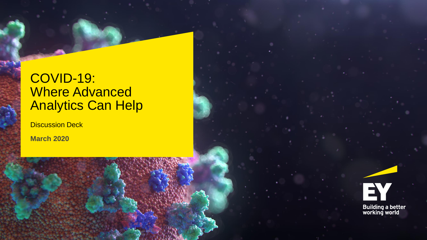# COVID-19: Where Advanced Analytics Can Help

**Discussion Deck** 

**March 2020**

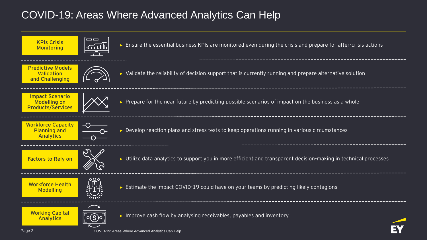# COVID-19: Areas Where Advanced Analytics Can Help

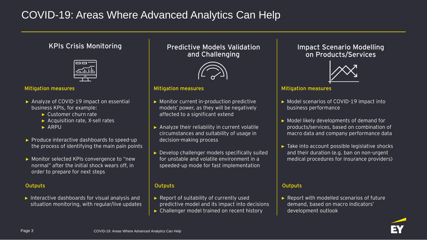# COVID-19: Areas Where Advanced Analytics Can Help

## **KPIs Crisis Monitoring**



#### **Mitigation measures**

- ► Analyze of COVID-19 impact on essential business KPIs, for example:
	- ► Customer churn rate
	- ► Acquisition rate, X-sell rates
	- ► ARPU
- ► Produce interactive dashboards to speed-up the process of identifying the main pain points
- ► Monitor selected KPIs convergence to "new normal" after the initial shock wears off, in order to prepare for next steps

#### **Outputs**

► Interactive dashboards for visual analysis and situation monitoring, with regular/live updates **Predictive Models Validation and Challenging**



#### **Mitigation measures**

- ► Monitor current in-production predictive models' power, as they will be negatively affected to a significant extend
- ► Analyze their reliability in current volatile circumstances and suitability of usage in decision-making process
- ► Develop challenger models specifically suited for unstable and volatile environment in a speeded-up mode for fast implementation

#### **Outputs**

- ► Report of suitability of currently used predictive model and its impact into decisions
- ► Challenger model trained on recent history

### **Impact Scenario Modelling on Products/Services**



#### **Mitigation measures**

- ► Model scenarios of COVID-19 impact into business performance
- ► Model likely developments of demand for products/services, based on combination of macro data and company performance data
- $\triangleright$  Take into account possible legislative shocks and their duration (e.g. ban on non-urgent medical procedures for insurance providers)

#### **Outputs**

Report with modelled scenarios of future demand, based on macro indicators' development outlook

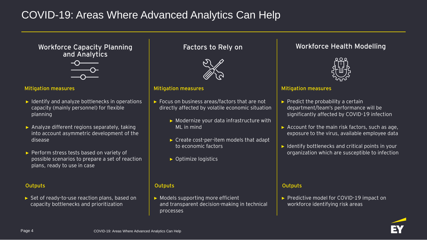# COVID-19: Areas Where Advanced Analytics Can Help

### **Workforce Capacity Planning and Analytics**



### **Mitigation measures**

- ► Identify and analyze bottlenecks in operations capacity (mainly personnel) for flexible planning
- ► Analyze different regions separately, taking into account asymmetric development of the disease
- ► Perform stress tests based on variety of possible scenarios to prepare a set of reaction plans, ready to use in case

#### **Outputs**

► Set of ready-to-use reaction plans, based on capacity bottlenecks and prioritization



#### **Mitigation measures**

- ► Focus on business areas/factors that are not directly affected by volatile economic situation
	- ► Modernize your data infrastructure with ML in mind
	- ► Create cost-per-item models that adapt to economic factors
	- ► Optimize logistics

#### **Outputs**

► Models supporting more efficient and transparent decision-making in technical processes

### **Factors to Rely on Workforce Health Modelling**



#### **Mitigation measures**

- $\triangleright$  Predict the probability a certain department/team's performance will be significantly affected by COVID-19 infection
- $\triangleright$  Account for the main risk factors, such as age, exposure to the virus, available employee data
- ► Identify bottlenecks and critical points in your organization which are susceptible to infection

#### **Outputs**

► Predictive model for COVID-19 impact on workforce identifying risk areas

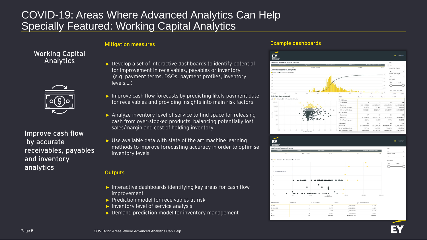# COVID-19: Areas Where Advanced Analytics Can Help Specially Featured: Working Capital Analytics

### **Mitigation measures**

- **Analytics**  $\Box$  ► Develop a set of interactive dashboards to identify potential for improvement in receivables, payables or inventory (e.g. payment terms, DSOs, payment profiles, inventory levels,…)
	- ► Improve cash flow forecasts by predicting likely payment date for receivables and providing insights into main risk factors
	- ► Analyze inventory level of service to find space for releasing cash from over-stocked products, balancing potentially lost sales/margin and cost of holding inventory
	- ► Use available data with state of the art machine learning methods to improve forecasting accuracy in order to optimise inventory levels

#### **Outputs**

- ► Interactive dashboards identifying key areas for cash flow improvement
- ► Prediction model for receivables at risk
- ► Inventory level of service analysis
- ► Demand prediction model for inventory management

#### **Example dashboards**





**Working Capital** 

**Improve cash flow**

**receivables, payables** 

**by accurate** 

**and inventory** 

**analytics**